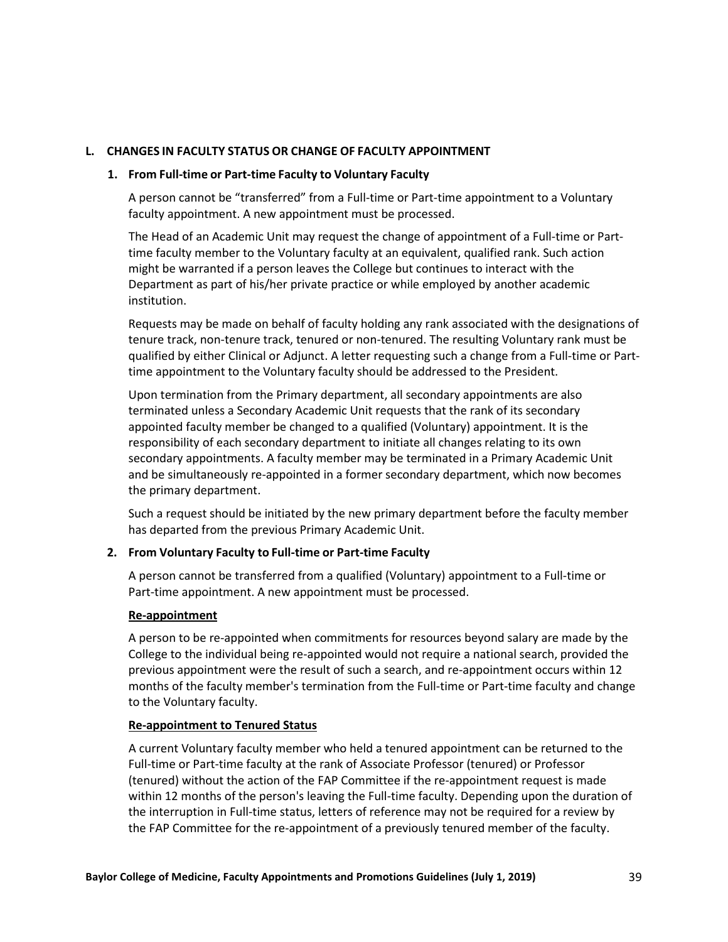# **L. CHANGES IN FACULTY STATUS OR CHANGE OF FACULTY APPOINTMENT**

#### **1. From Full-time or Part-time Faculty to Voluntary Faculty**

A person cannot be "transferred" from a Full-time or Part-time appointment to a Voluntary faculty appointment. A new appointment must be processed.

The Head of an Academic Unit may request the change of appointment of a Full-time or Parttime faculty member to the Voluntary faculty at an equivalent, qualified rank. Such action might be warranted if a person leaves the College but continues to interact with the Department as part of his/her private practice or while employed by another academic institution.

Requests may be made on behalf of faculty holding any rank associated with the designations of tenure track, non-tenure track, tenured or non-tenured. The resulting Voluntary rank must be qualified by either Clinical or Adjunct. A letter requesting such a change from a Full-time or Parttime appointment to the Voluntary faculty should be addressed to the President.

Upon termination from the Primary department, all secondary appointments are also terminated unless a Secondary Academic Unit requests that the rank of its secondary appointed faculty member be changed to a qualified (Voluntary) appointment. It is the responsibility of each secondary department to initiate all changes relating to its own secondary appointments. A faculty member may be terminated in a Primary Academic Unit and be simultaneously re-appointed in a former secondary department, which now becomes the primary department.

Such a request should be initiated by the new primary department before the faculty member has departed from the previous Primary Academic Unit.

### **2. From Voluntary Faculty to Full-time or Part-time Faculty**

A person cannot be transferred from a qualified (Voluntary) appointment to a Full-time or Part-time appointment. A new appointment must be processed.

### **Re-appointment**

A person to be re-appointed when commitments for resources beyond salary are made by the College to the individual being re-appointed would not require a national search, provided the previous appointment were the result of such a search, and re-appointment occurs within 12 months of the faculty member's termination from the Full-time or Part-time faculty and change to the Voluntary faculty.

## **Re-appointment to Tenured Status**

A current Voluntary faculty member who held a tenured appointment can be returned to the Full-time or Part-time faculty at the rank of Associate Professor (tenured) or Professor (tenured) without the action of the FAP Committee if the re-appointment request is made within 12 months of the person's leaving the Full-time faculty. Depending upon the duration of the interruption in Full-time status, letters of reference may not be required for a review by the FAP Committee for the re-appointment of a previously tenured member of the faculty.